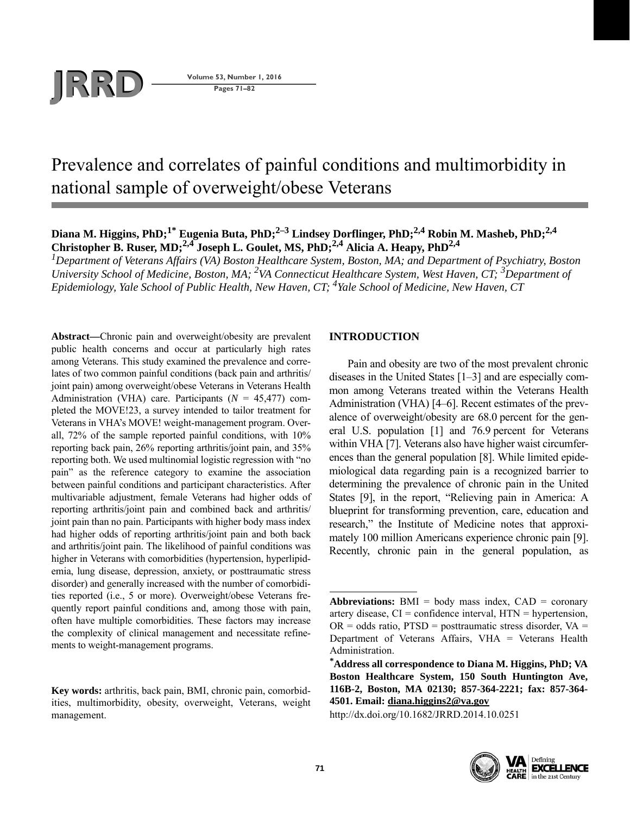

**Pages 71–82**

# Prevalence and correlates of painful conditions and multimorbidity in national sample of overweight/obese Veterans

# **Diana M. Higgins, PhD;1\* Eugenia Buta, PhD;2–3 Lindsey Dorflinger, PhD;2,4 Robin M. Masheb, PhD;2,4 Christopher B. Ruser, MD;2,4 Joseph L. Goulet, MS, PhD;2,4 Alicia A. Heapy, PhD2,4**

*1 Department of Veterans Affairs (VA) Boston Healthcare System, Boston, MA; and Department of Psychiatry, Boston*  University School of Medicine, Boston, MA; <sup>2</sup>VA Connecticut Healthcare System, West Haven, CT; <sup>3</sup>Department of *Epidemiology, Yale School of Public Health, New Haven, CT; 4Yale School of Medicine, New Haven, CT*

**Abstract—**Chronic pain and overweight/obesity are prevalent public health concerns and occur at particularly high rates among Veterans. This study examined the prevalence and correlates of two common painful conditions (back pain and arthritis/ joint pain) among overweight/obese Veterans in Veterans Health Administration (VHA) care. Participants (*N* = 45,477) completed the MOVE!23, a survey intended to tailor treatment for Veterans in VHA's MOVE! weight-management program. Overall, 72% of the sample reported painful conditions, with 10% reporting back pain, 26% reporting arthritis/joint pain, and 35% reporting both. We used multinomial logistic regression with "no pain" as the reference category to examine the association between painful conditions and participant characteristics. After multivariable adjustment, female Veterans had higher odds of reporting arthritis/joint pain and combined back and arthritis/ joint pain than no pain. Participants with higher body mass index had higher odds of reporting arthritis/joint pain and both back and arthritis/joint pain. The likelihood of painful conditions was higher in Veterans with comorbidities (hypertension, hyperlipidemia, lung disease, depression, anxiety, or posttraumatic stress disorder) and generally increased with the number of comorbidities reported (i.e., 5 or more). Overweight/obese Veterans frequently report painful conditions and, among those with pain, often have multiple comorbidities. These factors may increase the complexity of clinical management and necessitate refinements to weight-management programs.

**Key words:** arthritis, back pain, BMI, chronic pain, comorbidities, multimorbidity, obesity, overweight, Veterans, weight management.

# **INTRODUCTION**

Pain and obesity are two of the most prevalent chronic diseases in the United States [1–3] and are especially common among Veterans treated within the Veterans Health Administration (VHA) [4–6]. Recent estimates of the prevalence of overweight/obesity are 68.0 percent for the general U.S. population [1] and 76.9 percent for Veterans within VHA [7]. Veterans also have higher waist circumferences than the general population [8]. While limited epidemiological data regarding pain is a recognized barrier to determining the prevalence of chronic pain in the United States [9], in the report, "Relieving pain in America: A blueprint for transforming prevention, care, education and research," the Institute of Medicine notes that approximately 100 million Americans experience chronic pain [9]. Recently, chronic pain in the general population, as

http://dx.doi.org/10.1682/JRRD.2014.10.0251



**Abbreviations:**  $BMI = body$  mass index,  $CAD = coronary$ artery disease,  $CI =$  confidence interval,  $HTN =$  hypertension,  $OR = odds ratio$ ,  $PTSD = posttraumatic stress disorder$ ,  $VA =$ Department of Veterans Affairs, VHA = Veterans Health Administration.

**<sup>\*</sup> Address all correspondence to Diana M. Higgins, PhD; VA Boston Healthcare System, 150 South Huntington Ave, 116B-2, Boston, MA 02130; 857-364-2221; fax: 857-364- 4501. Email: diana.higgins2@va.gov**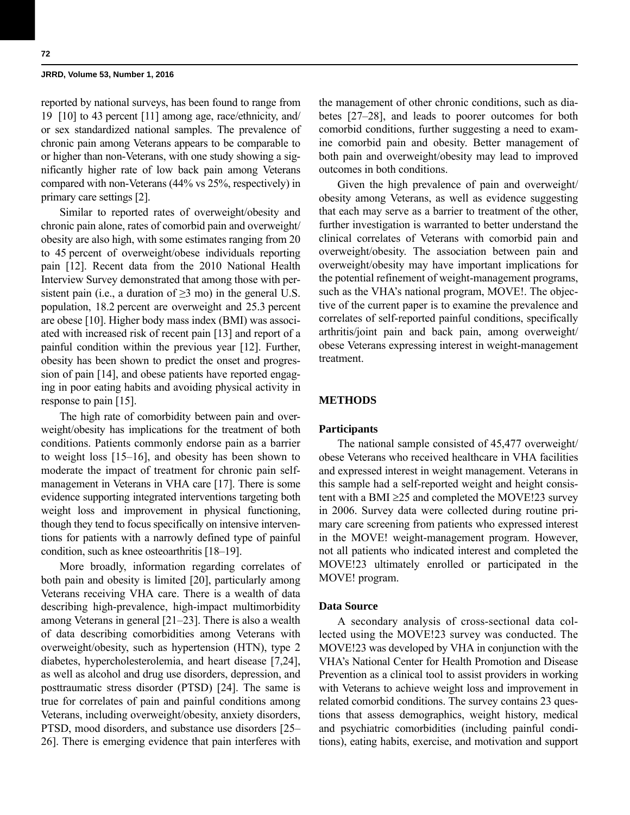reported by national surveys, has been found to range from 19 [10] to 43 percent [11] among age, race/ethnicity, and/ or sex standardized national samples. The prevalence of chronic pain among Veterans appears to be comparable to or higher than non-Veterans, with one study showing a significantly higher rate of low back pain among Veterans compared with non-Veterans (44% vs 25%, respectively) in primary care settings [2].

Similar to reported rates of overweight/obesity and chronic pain alone, rates of comorbid pain and overweight/ obesity are also high, with some estimates ranging from 20 to 45 percent of overweight/obese individuals reporting pain [12]. Recent data from the 2010 National Health Interview Survey demonstrated that among those with persistent pain (i.e., a duration of  $\geq$ 3 mo) in the general U.S. population, 18.2 percent are overweight and 25.3 percent are obese [10]. Higher body mass index (BMI) was associated with increased risk of recent pain [13] and report of a painful condition within the previous year [12]. Further, obesity has been shown to predict the onset and progression of pain [14], and obese patients have reported engaging in poor eating habits and avoiding physical activity in response to pain [15].

The high rate of comorbidity between pain and overweight/obesity has implications for the treatment of both conditions. Patients commonly endorse pain as a barrier to weight loss [15–16], and obesity has been shown to moderate the impact of treatment for chronic pain selfmanagement in Veterans in VHA care [17]. There is some evidence supporting integrated interventions targeting both weight loss and improvement in physical functioning, though they tend to focus specifically on intensive interventions for patients with a narrowly defined type of painful condition, such as knee osteoarthritis [18–19].

More broadly, information regarding correlates of both pain and obesity is limited [20], particularly among Veterans receiving VHA care. There is a wealth of data describing high-prevalence, high-impact multimorbidity among Veterans in general [21–23]. There is also a wealth of data describing comorbidities among Veterans with overweight/obesity, such as hypertension (HTN), type 2 diabetes, hypercholesterolemia, and heart disease [7,24], as well as alcohol and drug use disorders, depression, and posttraumatic stress disorder (PTSD) [24]. The same is true for correlates of pain and painful conditions among Veterans, including overweight/obesity, anxiety disorders, PTSD, mood disorders, and substance use disorders [25– 26]. There is emerging evidence that pain interferes with the management of other chronic conditions, such as diabetes [27–28], and leads to poorer outcomes for both comorbid conditions, further suggesting a need to examine comorbid pain and obesity. Better management of both pain and overweight/obesity may lead to improved outcomes in both conditions.

Given the high prevalence of pain and overweight/ obesity among Veterans, as well as evidence suggesting that each may serve as a barrier to treatment of the other, further investigation is warranted to better understand the clinical correlates of Veterans with comorbid pain and overweight/obesity. The association between pain and overweight/obesity may have important implications for the potential refinement of weight-management programs, such as the VHA's national program, MOVE!. The objective of the current paper is to examine the prevalence and correlates of self-reported painful conditions, specifically arthritis/joint pain and back pain, among overweight/ obese Veterans expressing interest in weight-management treatment.

# **METHODS**

### **Participants**

The national sample consisted of 45,477 overweight/ obese Veterans who received healthcare in VHA facilities and expressed interest in weight management. Veterans in this sample had a self-reported weight and height consistent with a BMI  $\geq$ 25 and completed the MOVE!23 survey in 2006. Survey data were collected during routine primary care screening from patients who expressed interest in the MOVE! weight-management program. However, not all patients who indicated interest and completed the MOVE!23 ultimately enrolled or participated in the MOVE! program.

### **Data Source**

A secondary analysis of cross-sectional data collected using the MOVE!23 survey was conducted. The MOVE!23 was developed by VHA in conjunction with the VHA's National Center for Health Promotion and Disease Prevention as a clinical tool to assist providers in working with Veterans to achieve weight loss and improvement in related comorbid conditions. The survey contains 23 questions that assess demographics, weight history, medical and psychiatric comorbidities (including painful conditions), eating habits, exercise, and motivation and support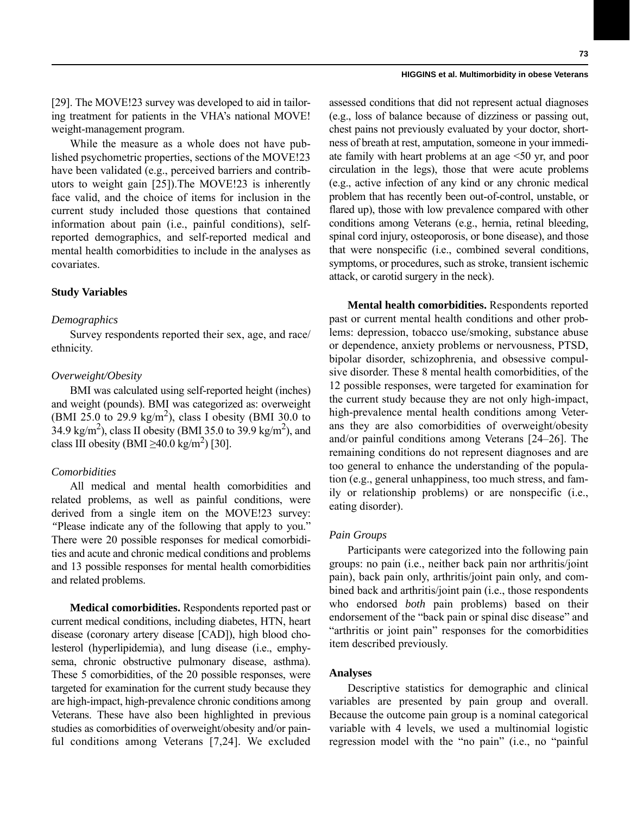[29]. The MOVE!23 survey was developed to aid in tailoring treatment for patients in the VHA's national MOVE! weight-management program.

While the measure as a whole does not have published psychometric properties, sections of the MOVE!23 have been validated (e.g., perceived barriers and contributors to weight gain [25]).The MOVE!23 is inherently face valid, and the choice of items for inclusion in the current study included those questions that contained information about pain (i.e., painful conditions), selfreported demographics, and self-reported medical and mental health comorbidities to include in the analyses as covariates.

### **Study Variables**

### *Demographics*

Survey respondents reported their sex, age, and race/ ethnicity.

### *Overweight/Obesity*

BMI was calculated using self-reported height (inches) and weight (pounds). BMI was categorized as: overweight (BMI 25.0 to 29.9 kg/m<sup>2</sup>), class I obesity (BMI 30.0 to  $34.9 \text{ kg/m}^2$ ), class II obesity (BMI 35.0 to 39.9 kg/m<sup>2</sup>), and class III obesity (BMI  $\geq$ 40.0 kg/m<sup>2</sup>) [30].

### *Comorbidities*

All medical and mental health comorbidities and related problems, as well as painful conditions, were derived from a single item on the MOVE!23 survey: *"*Please indicate any of the following that apply to you." There were 20 possible responses for medical comorbidities and acute and chronic medical conditions and problems and 13 possible responses for mental health comorbidities and related problems.

**Medical comorbidities.** Respondents reported past or current medical conditions, including diabetes, HTN, heart disease (coronary artery disease [CAD]), high blood cholesterol (hyperlipidemia), and lung disease (i.e., emphysema, chronic obstructive pulmonary disease, asthma). These 5 comorbidities, of the 20 possible responses, were targeted for examination for the current study because they are high-impact, high-prevalence chronic conditions among Veterans. These have also been highlighted in previous studies as comorbidities of overweight/obesity and/or painful conditions among Veterans [7,24]. We excluded

assessed conditions that did not represent actual diagnoses (e.g., loss of balance because of dizziness or passing out, chest pains not previously evaluated by your doctor, shortness of breath at rest, amputation, someone in your immediate family with heart problems at an age <50 yr, and poor circulation in the legs), those that were acute problems (e.g., active infection of any kind or any chronic medical problem that has recently been out-of-control, unstable, or flared up), those with low prevalence compared with other conditions among Veterans (e.g., hernia, retinal bleeding, spinal cord injury, osteoporosis, or bone disease), and those that were nonspecific (i.e., combined several conditions, symptoms, or procedures, such as stroke, transient ischemic attack, or carotid surgery in the neck).

**Mental health comorbidities.** Respondents reported past or current mental health conditions and other problems: depression, tobacco use/smoking, substance abuse or dependence, anxiety problems or nervousness, PTSD, bipolar disorder, schizophrenia, and obsessive compulsive disorder. These 8 mental health comorbidities, of the 12 possible responses, were targeted for examination for the current study because they are not only high-impact, high-prevalence mental health conditions among Veterans they are also comorbidities of overweight/obesity and/or painful conditions among Veterans [24–26]. The remaining conditions do not represent diagnoses and are too general to enhance the understanding of the population (e.g., general unhappiness, too much stress, and family or relationship problems) or are nonspecific (i.e., eating disorder).

### *Pain Groups*

Participants were categorized into the following pain groups: no pain (i.e., neither back pain nor arthritis/joint pain), back pain only, arthritis/joint pain only, and combined back and arthritis/joint pain (i.e., those respondents who endorsed *both* pain problems) based on their endorsement of the "back pain or spinal disc disease" and "arthritis or joint pain" responses for the comorbidities item described previously.

### **Analyses**

Descriptive statistics for demographic and clinical variables are presented by pain group and overall. Because the outcome pain group is a nominal categorical variable with 4 levels, we used a multinomial logistic regression model with the "no pain" (i.e., no "painful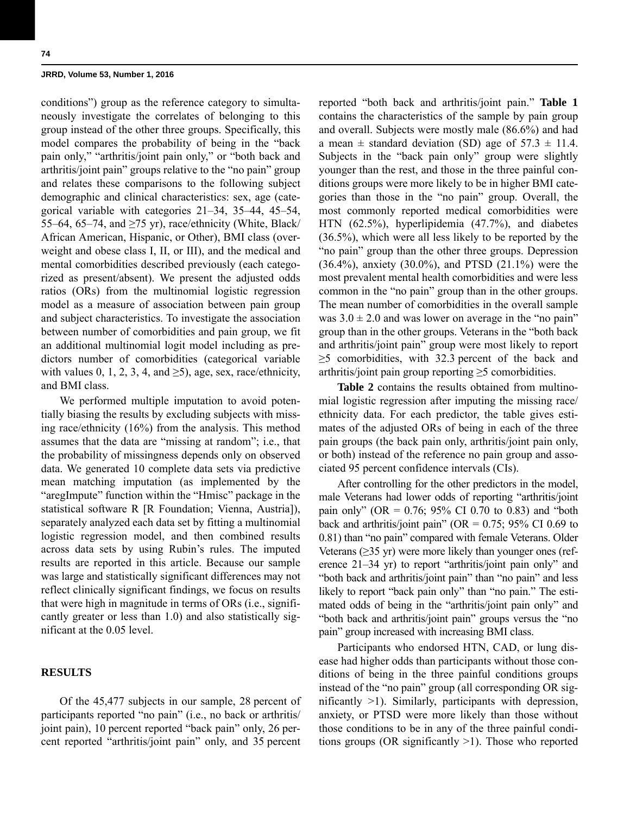conditions") group as the reference category to simultaneously investigate the correlates of belonging to this group instead of the other three groups. Specifically, this model compares the probability of being in the "back pain only," "arthritis/joint pain only," or "both back and arthritis/joint pain" groups relative to the "no pain" group and relates these comparisons to the following subject demographic and clinical characteristics: sex, age (categorical variable with categories 21–34, 35–44, 45–54, 55–64, 65–74, and ≥75 yr), race/ethnicity (White, Black/ African American, Hispanic, or Other), BMI class (overweight and obese class I, II, or III), and the medical and mental comorbidities described previously (each categorized as present/absent). We present the adjusted odds ratios (ORs) from the multinomial logistic regression model as a measure of association between pain group and subject characteristics. To investigate the association between number of comorbidities and pain group, we fit an additional multinomial logit model including as predictors number of comorbidities (categorical variable with values 0, 1, 2, 3, 4, and  $\geq$ 5), age, sex, race/ethnicity, and BMI class.

We performed multiple imputation to avoid potentially biasing the results by excluding subjects with missing race/ethnicity (16%) from the analysis. This method assumes that the data are "missing at random"; i.e., that the probability of missingness depends only on observed data. We generated 10 complete data sets via predictive mean matching imputation (as implemented by the "aregImpute" function within the "Hmisc" package in the statistical software R [R Foundation; Vienna, Austria]), separately analyzed each data set by fitting a multinomial logistic regression model, and then combined results across data sets by using Rubin's rules. The imputed results are reported in this article. Because our sample was large and statistically significant differences may not reflect clinically significant findings, we focus on results that were high in magnitude in terms of ORs (i.e., significantly greater or less than 1.0) and also statistically significant at the 0.05 level.

# **RESULTS**

Of the 45,477 subjects in our sample, 28 percent of participants reported "no pain" (i.e., no back or arthritis/ joint pain), 10 percent reported "back pain" only, 26 percent reported "arthritis/joint pain" only, and 35 percent reported "both back and arthritis/joint pain." **Table 1** contains the characteristics of the sample by pain group and overall. Subjects were mostly male (86.6%) and had a mean  $\pm$  standard deviation (SD) age of 57.3  $\pm$  11.4. Subjects in the "back pain only" group were slightly younger than the rest, and those in the three painful conditions groups were more likely to be in higher BMI categories than those in the "no pain" group. Overall, the most commonly reported medical comorbidities were HTN (62.5%), hyperlipidemia (47.7%), and diabetes (36.5%), which were all less likely to be reported by the "no pain" group than the other three groups. Depression (36.4%), anxiety (30.0%), and PTSD (21.1%) were the most prevalent mental health comorbidities and were less common in the "no pain" group than in the other groups. The mean number of comorbidities in the overall sample was  $3.0 \pm 2.0$  and was lower on average in the "no pain" group than in the other groups. Veterans in the "both back and arthritis/joint pain" group were most likely to report ≥5 comorbidities, with 32.3 percent of the back and arthritis/joint pain group reporting  $\geq$ 5 comorbidities.

**Table 2** contains the results obtained from multinomial logistic regression after imputing the missing race/ ethnicity data. For each predictor, the table gives estimates of the adjusted ORs of being in each of the three pain groups (the back pain only, arthritis/joint pain only, or both) instead of the reference no pain group and associated 95 percent confidence intervals (CIs).

After controlling for the other predictors in the model, male Veterans had lower odds of reporting "arthritis/joint pain only" (OR =  $0.76$ ; 95% CI 0.70 to 0.83) and "both back and arthritis/joint pain" (OR =  $0.75$ ; 95% CI 0.69 to 0.81) than "no pain" compared with female Veterans. Older Veterans (≥35 yr) were more likely than younger ones (reference 21–34 yr) to report "arthritis/joint pain only" and "both back and arthritis/joint pain" than "no pain" and less likely to report "back pain only" than "no pain." The estimated odds of being in the "arthritis/joint pain only" and "both back and arthritis/joint pain" groups versus the "no pain" group increased with increasing BMI class.

Participants who endorsed HTN, CAD, or lung disease had higher odds than participants without those conditions of being in the three painful conditions groups instead of the "no pain" group (all corresponding OR significantly >1). Similarly, participants with depression, anxiety, or PTSD were more likely than those without those conditions to be in any of the three painful conditions groups (OR significantly >1). Those who reported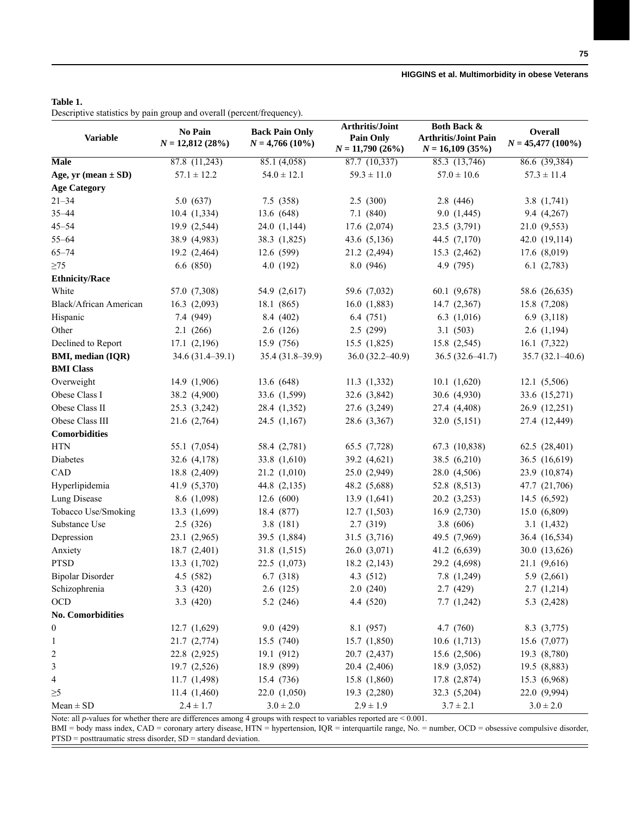# **Table 1.**

Descriptive statistics by pain group and overall (percent/frequency).

|                           |                              |                                            | Arthritis/Joint     | <b>Both Back &amp;</b>      |                     |  |
|---------------------------|------------------------------|--------------------------------------------|---------------------|-----------------------------|---------------------|--|
| <b>Variable</b>           | No Pain<br>$N = 12,812(28%)$ | <b>Back Pain Only</b><br>$N = 4,766(10\%)$ | <b>Pain Only</b>    | <b>Arthritis/Joint Pain</b> | Overall             |  |
|                           |                              |                                            | $N = 11,790(26%)$   | $N = 16,109(35%)$           | $N = 45,477(100\%)$ |  |
| Male                      | 87.8(11,243)                 | 85.1 (4,058)                               | 87.7(10,337)        | 85.3 (13,746)               | 86.6 (39,384)       |  |
| Age, $yr$ (mean $\pm$ SD) | $57.1 \pm 12.2$              | $54.0 \pm 12.1$                            | $59.3 \pm 11.0$     | $57.0 \pm 10.6$             | $57.3 \pm 11.4$     |  |
| <b>Age Category</b>       |                              |                                            |                     |                             |                     |  |
| $21 - 34$                 | 5.0(637)                     | 7.5(358)                                   | 2.5(300)            | 2.8(446)                    | 3.8 $(1,741)$       |  |
| $35 - 44$                 | 10.4(1,334)                  | 13.6 (648)                                 | 7.1(840)            | 9.0(1,445)                  | 9.4(4,267)          |  |
| $45 - 54$                 | 19.9 (2,544)                 | 24.0 (1,144)                               | 17.6 (2,074)        | 23.5 (3,791)                | 21.0 (9,553)        |  |
| $55 - 64$                 | 38.9 (4,983)                 | 38.3 (1,825)                               | 43.6 (5,136)        | 44.5 (7,170)                | 42.0 (19,114)       |  |
| $65 - 74$                 | 19.2 (2,464)                 | 12.6 (599)                                 | 21.2 (2,494)        | 15.3 (2,462)                | 17.6 (8,019)        |  |
| $\geq$ 75                 | 6.6(850)                     | 4.0 (192)                                  | 8.0(946)            | 4.9 (795)                   | 6.1(2,783)          |  |
| <b>Ethnicity/Race</b>     |                              |                                            |                     |                             |                     |  |
| White                     | 57.0 (7,308)                 | 54.9 (2,617)                               | 59.6 (7,032)        | 60.1 (9,678)                | 58.6 (26,635)       |  |
| Black/African American    | 16.3(2,093)                  | 18.1 (865)                                 | 16.0(1,883)         | 14.7(2,367)                 | 15.8 (7,208)        |  |
| Hispanic                  | 7.4 (949)                    | 8.4 (402)                                  | 6.4(751)            | 6.3(1,016)                  | 6.9 $(3,118)$       |  |
| Other                     | 2.1(266)                     | 2.6(126)                                   | 2.5 (299)           | 3.1(503)                    | 2.6(1,194)          |  |
| Declined to Report        | 17.1(2,196)                  | 15.9 (756)                                 | 15.5(1,825)         | 15.8 (2,545)                | 16.1(7,322)         |  |
| <b>BMI, median (IQR)</b>  | 34.6 (31.4–39.1)             | 35.4 (31.8-39.9)                           | $36.0(32.2 - 40.9)$ | $36.5(32.6 - 41.7)$         | $35.7(32.1 - 40.6)$ |  |
| <b>BMI</b> Class          |                              |                                            |                     |                             |                     |  |
| Overweight                | 14.9 (1,906)                 | 13.6 (648)                                 | 11.3(1,332)         | 10.1(1,620)                 | 12.1 (5,506)        |  |
| Obese Class I             | 38.2 (4,900)                 | 33.6 (1,599)                               | 32.6 (3,842)        | 30.6 (4,930)                | 33.6 (15,271)       |  |
| Obese Class II            | 25.3 (3,242)                 | 28.4 (1,352)                               | 27.6 (3,249)        | 27.4 (4,408)                | 26.9 (12,251)       |  |
| Obese Class III           | 21.6 (2,764)                 | 24.5(1,167)                                | 28.6 (3,367)        | 32.0(5,151)                 | 27.4 (12,449)       |  |
| <b>Comorbidities</b>      |                              |                                            |                     |                             |                     |  |
| <b>HTN</b>                | 55.1 (7,054)                 | 58.4 (2,781)                               | 65.5 (7,728)        | 67.3 (10,838)               | 62.5 (28,401)       |  |
| Diabetes                  | 32.6 (4,178)                 | 33.8 (1,610)                               | 39.2 (4,621)        | 38.5 (6,210)                | 36.5 (16,619)       |  |
| CAD                       | 18.8 (2,409)                 | 21.2(1,010)                                | 25.0 (2,949)        | 28.0 (4,506)                | 23.9 (10,874)       |  |
| Hyperlipidemia            | 41.9 (5,370)                 | 44.8 (2,135)                               | 48.2 (5,688)        | 52.8 (8,513)                | 47.7 (21,706)       |  |
| Lung Disease              | 8.6 (1,098)                  | 12.6(600)                                  | 13.9(1,641)         | 20.2 (3,253)                | 14.5 (6,592)        |  |
| Tobacco Use/Smoking       | 13.3 (1,699)                 | 18.4 (877)                                 | 12.7(1,503)         | 16.9(2,730)                 | 15.0 (6,809)        |  |
| Substance Use             | 2.5(326)                     | 3.8(181)                                   | 2.7 (319)           | 3.8(606)                    | 3.1(1,432)          |  |
| Depression                | 23.1(2,965)                  | 39.5 (1,884)                               | 31.5 (3,716)        | 49.5 (7,969)                | 36.4 (16,534)       |  |
| Anxiety                   | 18.7 (2,401)                 | 31.8 (1,515)                               | 26.0(3,071)         | 41.2 (6,639)                | 30.0 (13,626)       |  |
| <b>PTSD</b>               | 13.3 (1,702)                 | 22.5(1,073)                                | 18.2(2,143)         | 29.2 (4,698)                | 21.1 (9,616)        |  |
| <b>Bipolar Disorder</b>   | 4.5 (582)                    | 6.7 (318)                                  | 4.3 (512)           | 7.8 (1,249)                 | 5.9 (2,661)         |  |
| Schizophrenia             | 3.3(420)                     | 2.6(125)                                   | 2.0(240)            | 2.7(429)                    | 2.7(1,214)          |  |
| $\rm OCD$                 | 3.3(420)                     | 5.2(246)                                   | 4.4 (520)           | 7.7(1,242)                  | 5.3 $(2,428)$       |  |
| <b>No. Comorbidities</b>  |                              |                                            |                     |                             |                     |  |
| $\boldsymbol{0}$          | 12.7 (1,629)                 | 9.0 (429)                                  | 8.1 (957)           | 4.7 (760)                   | 8.3 (3,775)         |  |
| $\mathbf{1}$              | 21.7 (2,774)                 | 15.5 (740)                                 | 15.7(1,850)         | 10.6(1,713)                 | 15.6 (7,077)        |  |
| $\overline{c}$            | 22.8 (2,925)                 | 19.1 (912)                                 | 20.7 (2,437)        | 15.6(2,506)                 | 19.3 (8,780)        |  |
| 3                         | 19.7 (2,526)                 | 18.9 (899)                                 | 20.4 (2,406)        | 18.9 (3,052)                | 19.5 (8,883)        |  |
| $\overline{4}$            | 11.7(1,498)                  | 15.4 (736)                                 | 15.8 (1,860)        | 17.8 (2,874)                | 15.3 (6,968)        |  |
| $\geq 5$                  | 11.4(1,460)                  | 22.0 (1,050)                               | 19.3(2,280)         | 32.3 (5,204)                | 22.0 (9,994)        |  |
| $Mean \pm SD$             | $2.4 \pm 1.7$                | $3.0 \pm 2.0$                              | $2.9 \pm 1.9$       | $3.7 \pm 2.1$               | $3.0 \pm 2.0$       |  |
|                           |                              |                                            |                     |                             |                     |  |

Note: all *p*-values for whether there are differences among 4 groups with respect to variables reported are < 0.001.

BMI = body mass index, CAD = coronary artery disease, HTN = hypertension, IQR = interquartile range, No. = number, OCD = obsessive compulsive disorder, PTSD = posttraumatic stress disorder, SD = standard deviation.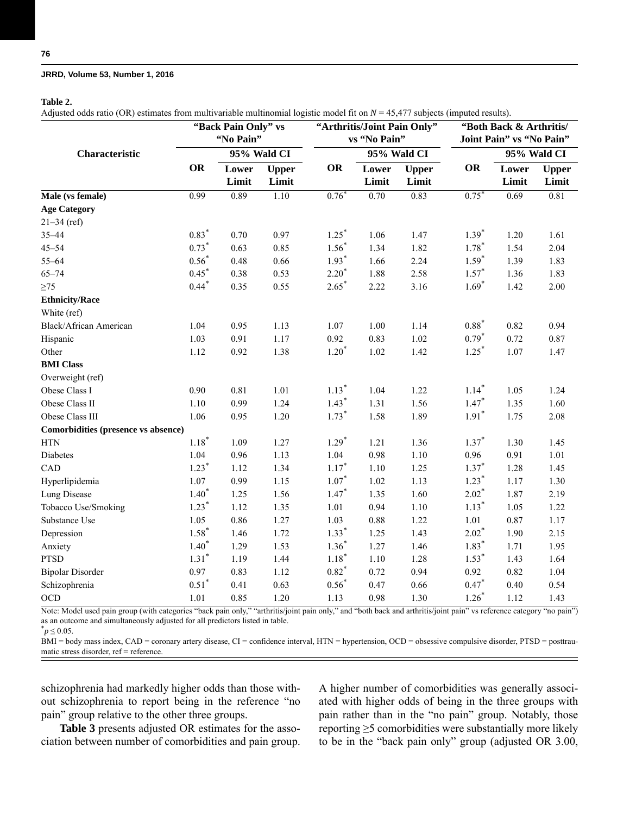### **Table 2.**

Adjusted odds ratio (OR) estimates from multivariable multinomial logistic model fit on *N* = 45,477 subjects (imputed results).

|                                            | "Back Pain Only" vs<br>"No Pain" |                |                       | "Arthritis/Joint Pain Only"<br>vs "No Pain" |                   |                       | "Both Back & Arthritis/<br>Joint Pain" vs "No Pain" |                |                       |
|--------------------------------------------|----------------------------------|----------------|-----------------------|---------------------------------------------|-------------------|-----------------------|-----------------------------------------------------|----------------|-----------------------|
| Characteristic                             |                                  | 95% Wald CI    |                       |                                             | 95% Wald CI       |                       |                                                     | 95% Wald CI    |                       |
|                                            | <b>OR</b>                        | Lower<br>Limit | <b>Upper</b><br>Limit | <b>OR</b>                                   | Lower<br>Limit    | <b>Upper</b><br>Limit | OR                                                  | Lower<br>Limit | <b>Upper</b><br>Limit |
| Male (vs female)                           | 0.99                             | 0.89           | 1.10                  | $0.76*$                                     | $\overline{0.70}$ | 0.83                  | $0.75*$                                             | 0.69           | 0.81                  |
| <b>Age Category</b>                        |                                  |                |                       |                                             |                   |                       |                                                     |                |                       |
| $21 - 34$ (ref)                            |                                  |                |                       |                                             |                   |                       |                                                     |                |                       |
| $35 - 44$                                  | $0.83*$                          | 0.70           | 0.97                  | $1.25*$                                     | 1.06              | 1.47                  | $1.39*$                                             | 1.20           | 1.61                  |
| $45 - 54$                                  | $0.73*$                          | 0.63           | 0.85                  | $1.56*$                                     | 1.34              | 1.82                  | $1.78*$                                             | 1.54           | 2.04                  |
| $55 - 64$                                  | $0.56*$                          | 0.48           | 0.66                  | $1.93*$                                     | 1.66              | 2.24                  | $1.59*$                                             | 1.39           | 1.83                  |
| $65 - 74$                                  | $0.45*$                          | 0.38           | 0.53                  | $2.20*$                                     | 1.88              | 2.58                  | $1.57*$                                             | 1.36           | 1.83                  |
| $\geq$ 75                                  | $0.44$ <sup>*</sup>              | 0.35           | 0.55                  | $2.65*$                                     | 2.22              | 3.16                  | $1.69*$                                             | 1.42           | 2.00                  |
| <b>Ethnicity/Race</b>                      |                                  |                |                       |                                             |                   |                       |                                                     |                |                       |
| White (ref)                                |                                  |                |                       |                                             |                   |                       |                                                     |                |                       |
| Black/African American                     | 1.04                             | 0.95           | 1.13                  | 1.07                                        | 1.00              | 1.14                  | $0.88*$                                             | 0.82           | 0.94                  |
| Hispanic                                   | 1.03                             | 0.91           | 1.17                  | 0.92                                        | 0.83              | 1.02                  | $0.79*$                                             | 0.72           | 0.87                  |
| Other                                      | 1.12                             | 0.92           | 1.38                  | $1.20*$                                     | 1.02              | 1.42                  | $1.25*$                                             | 1.07           | 1.47                  |
| <b>BMI</b> Class                           |                                  |                |                       |                                             |                   |                       |                                                     |                |                       |
| Overweight (ref)                           |                                  |                |                       |                                             |                   |                       |                                                     |                |                       |
| Obese Class I                              | 0.90                             | 0.81           | 1.01                  | $1.13*$                                     | 1.04              | 1.22                  | $1.14*$                                             | 1.05           | 1.24                  |
| Obese Class II                             | 1.10                             | 0.99           | 1.24                  | $1.43*$                                     | 1.31              | 1.56                  | $1.47*$                                             | 1.35           | 1.60                  |
| Obese Class III                            | 1.06                             | 0.95           | 1.20                  | $1.73*$                                     | 1.58              | 1.89                  | $1.91*$                                             | 1.75           | 2.08                  |
| <b>Comorbidities (presence vs absence)</b> |                                  |                |                       |                                             |                   |                       |                                                     |                |                       |
| <b>HTN</b>                                 | $1.18*$                          | 1.09           | 1.27                  | $1.29*$                                     | 1.21              | 1.36                  | $1.37*$                                             | 1.30           | 1.45                  |
| Diabetes                                   | 1.04                             | 0.96           | 1.13                  | 1.04                                        | 0.98              | $1.10$                | 0.96                                                | 0.91           | 1.01                  |
| CAD                                        | $1.23*$                          | 1.12           | 1.34                  | $1.17*$                                     | 1.10              | 1.25                  | $1.37*$                                             | 1.28           | 1.45                  |
| Hyperlipidemia                             | 1.07                             | 0.99           | 1.15                  | $1.07*$                                     | 1.02              | 1.13                  | $1.23*$                                             | 1.17           | 1.30                  |
| Lung Disease                               | $1.40*$                          | 1.25           | 1.56                  | $1.47*$                                     | 1.35              | 1.60                  | $2.02*$                                             | 1.87           | 2.19                  |
| Tobacco Use/Smoking                        | $1.23*$                          | 1.12           | 1.35                  | 1.01                                        | 0.94              | 1.10                  | $1.13*$                                             | 1.05           | 1.22                  |
| Substance Use                              | 1.05                             | 0.86           | 1.27                  | 1.03                                        | 0.88              | 1.22                  | 1.01                                                | 0.87           | 1.17                  |
| Depression                                 | $1.58*$                          | 1.46           | 1.72                  | $1.33*$                                     | 1.25              | 1.43                  | $2.02*$                                             | 1.90           | 2.15                  |
| Anxiety                                    | $1.40*$                          | 1.29           | 1.53                  | $1.36^{*}$                                  | 1.27              | 1.46                  | $1.83*$                                             | 1.71           | 1.95                  |
| <b>PTSD</b>                                | $1.31*$                          | 1.19           | 1.44                  | $1.18*$                                     | 1.10              | 1.28                  | $1.53*$                                             | 1.43           | 1.64                  |
| <b>Bipolar Disorder</b>                    | 0.97                             | 0.83           | 1.12                  | $0.82*$                                     | 0.72              | 0.94                  | 0.92                                                | 0.82           | 1.04                  |
| Schizophrenia                              | $0.51*$                          | 0.41           | 0.63                  | $0.56*$                                     | 0.47              | 0.66                  | $0.47*$                                             | $0.40\,$       | 0.54                  |
| <b>OCD</b>                                 | 1.01                             | 0.85           | 1.20                  | 1.13                                        | 0.98              | 1.30                  | $1.26*$                                             | 1.12           | 1.43                  |

Note: Model used pain group (with categories "back pain only," "arthritis/joint pain only," and "both back and arthritis/joint pain" vs reference category "no pain") as an outcome and simultaneously adjusted for all predictors listed in table.

 $\hat{p} \le 0.05$ .

BMI = body mass index, CAD = coronary artery disease, CI = confidence interval, HTN = hypertension, OCD = obsessive compulsive disorder, PTSD = posttraumatic stress disorder, ref = reference.

schizophrenia had markedly higher odds than those without schizophrenia to report being in the reference "no pain" group relative to the other three groups.

**Table 3** presents adjusted OR estimates for the association between number of comorbidities and pain group. A higher number of comorbidities was generally associated with higher odds of being in the three groups with pain rather than in the "no pain" group. Notably, those reporting ≥5 comorbidities were substantially more likely to be in the "back pain only" group (adjusted OR 3.00,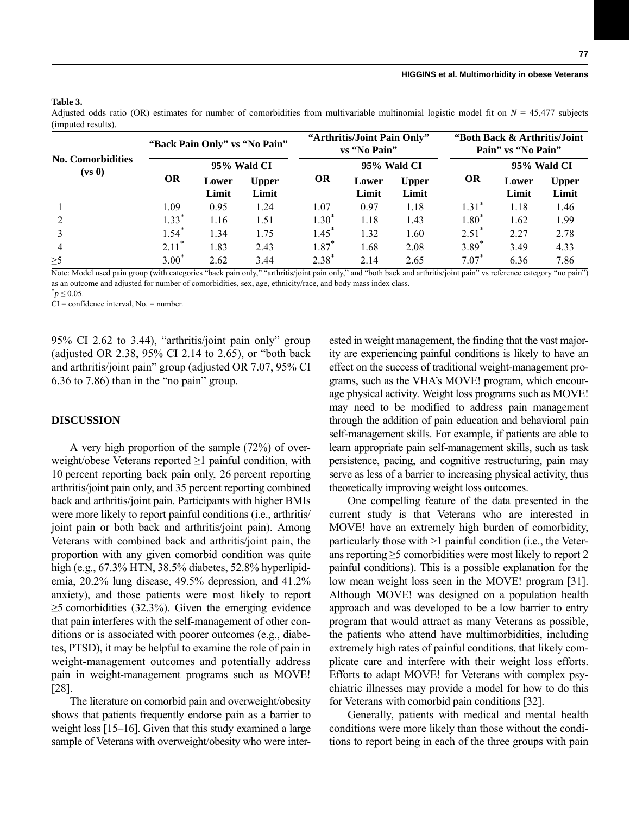| <b>No. Comorbidities</b><br>(vs 0) | "Back Pain Only" vs "No Pain" |                |                       | "Arthritis/Joint Pain Only"<br>vs "No Pain" |                |                       | "Both Back & Arthritis/Joint"<br>Pain" vs "No Pain" |                |                       |
|------------------------------------|-------------------------------|----------------|-----------------------|---------------------------------------------|----------------|-----------------------|-----------------------------------------------------|----------------|-----------------------|
|                                    |                               | 95% Wald CI    |                       |                                             | 95% Wald CI    |                       |                                                     | 95% Wald CI    |                       |
|                                    | <b>OR</b>                     | Lower<br>Limit | <b>Upper</b><br>Limit | <b>OR</b>                                   | Lower<br>Limit | <b>Upper</b><br>Limit | OR                                                  | Lower<br>Limit | <b>Upper</b><br>Limit |
|                                    | 1.09                          | 0.95           | l.24                  | 1.07                                        | 0.97           | 1.18                  | $1.31*$                                             | l.18           | 1.46                  |
|                                    | $1.33*$                       | 1.16           | 1.51                  | $1.30^{*}$                                  | 1.18           | 1.43                  | $1.80*$                                             | 1.62           | 1.99                  |
|                                    | $1.54$ <sup>*</sup>           | 1.34           | 1.75                  | $1.45$ <sup>*</sup>                         | 1.32           | 1.60                  | $2.51^*$                                            | 2.27           | 2.78                  |
| $\overline{4}$                     | $2.11*$                       | 1.83           | 2.43                  | $1.87*$                                     | 1.68           | 2.08                  | $3.89*$                                             | 3.49           | 4.33                  |
| $\geq 5$                           | $3.00*$                       | 2.62           | 3.44                  | $2.38*$                                     | 2.14           | 2.65                  | $7.07*$                                             | 6.36           | 7.86                  |

#### **Table 3.**

Adjusted odds ratio (OR) estimates for number of comorbidities from multivariable multinomial logistic model fit on *N* = 45,477 subjects (imputed results).

Note: Model used pain group (with categories "back pain only," "arthritis/joint pain only," and "both back and arthritis/joint pain" vs reference category "no pain") as an outcome and adjusted for number of comorbidities, sex, age, ethnicity/race, and body mass index class.

 $^*p$  ≤ 0.05.

 $CI =$  confidence interval, No. = number.

95% CI 2.62 to 3.44), "arthritis/joint pain only" group (adjusted OR 2.38, 95% CI 2.14 to 2.65), or "both back and arthritis/joint pain" group (adjusted OR 7.07, 95% CI 6.36 to 7.86) than in the "no pain" group.

### **DISCUSSION**

A very high proportion of the sample (72%) of overweight/obese Veterans reported  $\geq 1$  painful condition, with 10 percent reporting back pain only, 26 percent reporting arthritis/joint pain only, and 35 percent reporting combined back and arthritis/joint pain. Participants with higher BMIs were more likely to report painful conditions (i.e., arthritis/ joint pain or both back and arthritis/joint pain). Among Veterans with combined back and arthritis/joint pain, the proportion with any given comorbid condition was quite high (e.g., 67.3% HTN, 38.5% diabetes, 52.8% hyperlipidemia, 20.2% lung disease, 49.5% depression, and 41.2% anxiety), and those patients were most likely to report  $\geq$ 5 comorbidities (32.3%). Given the emerging evidence that pain interferes with the self-management of other conditions or is associated with poorer outcomes (e.g., diabetes, PTSD), it may be helpful to examine the role of pain in weight-management outcomes and potentially address pain in weight-management programs such as MOVE! [28].

The literature on comorbid pain and overweight/obesity shows that patients frequently endorse pain as a barrier to weight loss [15–16]. Given that this study examined a large sample of Veterans with overweight/obesity who were interested in weight management, the finding that the vast majority are experiencing painful conditions is likely to have an effect on the success of traditional weight-management programs, such as the VHA's MOVE! program, which encourage physical activity. Weight loss programs such as MOVE! may need to be modified to address pain management through the addition of pain education and behavioral pain self-management skills. For example, if patients are able to learn appropriate pain self-management skills, such as task persistence, pacing, and cognitive restructuring, pain may serve as less of a barrier to increasing physical activity, thus theoretically improving weight loss outcomes.

One compelling feature of the data presented in the current study is that Veterans who are interested in MOVE! have an extremely high burden of comorbidity, particularly those with >1 painful condition (i.e., the Veterans reporting  $\geq$ 5 comorbidities were most likely to report 2 painful conditions). This is a possible explanation for the low mean weight loss seen in the MOVE! program [31]. Although MOVE! was designed on a population health approach and was developed to be a low barrier to entry program that would attract as many Veterans as possible, the patients who attend have multimorbidities, including extremely high rates of painful conditions, that likely complicate care and interfere with their weight loss efforts. Efforts to adapt MOVE! for Veterans with complex psychiatric illnesses may provide a model for how to do this for Veterans with comorbid pain conditions [32].

Generally, patients with medical and mental health conditions were more likely than those without the conditions to report being in each of the three groups with pain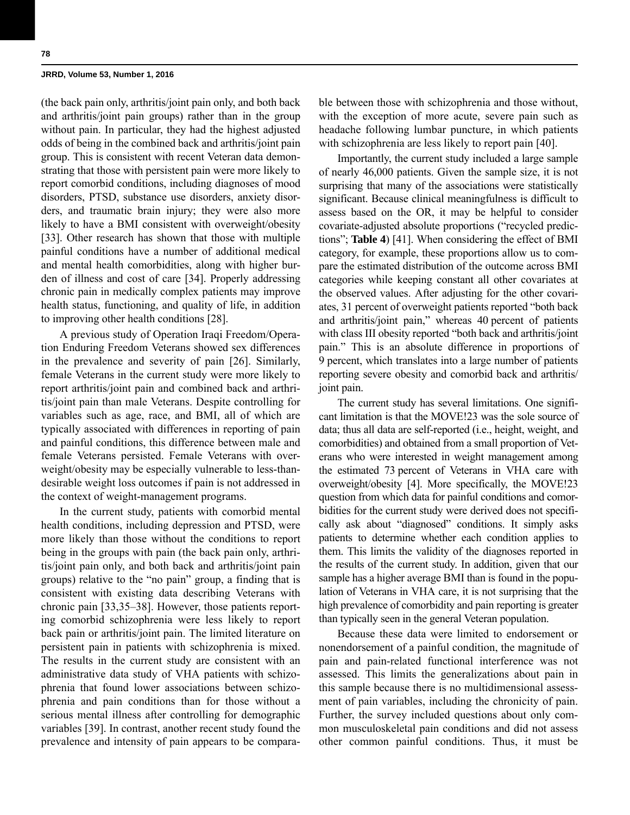(the back pain only, arthritis/joint pain only, and both back and arthritis/joint pain groups) rather than in the group without pain. In particular, they had the highest adjusted odds of being in the combined back and arthritis/joint pain group. This is consistent with recent Veteran data demonstrating that those with persistent pain were more likely to report comorbid conditions, including diagnoses of mood disorders, PTSD, substance use disorders, anxiety disorders, and traumatic brain injury; they were also more likely to have a BMI consistent with overweight/obesity [33]. Other research has shown that those with multiple painful conditions have a number of additional medical and mental health comorbidities, along with higher burden of illness and cost of care [34]. Properly addressing chronic pain in medically complex patients may improve health status, functioning, and quality of life, in addition to improving other health conditions [28].

A previous study of Operation Iraqi Freedom/Operation Enduring Freedom Veterans showed sex differences in the prevalence and severity of pain [26]. Similarly, female Veterans in the current study were more likely to report arthritis/joint pain and combined back and arthritis/joint pain than male Veterans. Despite controlling for variables such as age, race, and BMI, all of which are typically associated with differences in reporting of pain and painful conditions, this difference between male and female Veterans persisted. Female Veterans with overweight/obesity may be especially vulnerable to less-thandesirable weight loss outcomes if pain is not addressed in the context of weight-management programs.

In the current study, patients with comorbid mental health conditions, including depression and PTSD, were more likely than those without the conditions to report being in the groups with pain (the back pain only, arthritis/joint pain only, and both back and arthritis/joint pain groups) relative to the "no pain" group, a finding that is consistent with existing data describing Veterans with chronic pain [33,35–38]. However, those patients reporting comorbid schizophrenia were less likely to report back pain or arthritis/joint pain. The limited literature on persistent pain in patients with schizophrenia is mixed. The results in the current study are consistent with an administrative data study of VHA patients with schizophrenia that found lower associations between schizophrenia and pain conditions than for those without a serious mental illness after controlling for demographic variables [39]. In contrast, another recent study found the prevalence and intensity of pain appears to be comparable between those with schizophrenia and those without, with the exception of more acute, severe pain such as headache following lumbar puncture, in which patients with schizophrenia are less likely to report pain [40].

Importantly, the current study included a large sample of nearly 46,000 patients. Given the sample size, it is not surprising that many of the associations were statistically significant. Because clinical meaningfulness is difficult to assess based on the OR, it may be helpful to consider covariate-adjusted absolute proportions ("recycled predictions"; **Table 4**) [41]. When considering the effect of BMI category, for example, these proportions allow us to compare the estimated distribution of the outcome across BMI categories while keeping constant all other covariates at the observed values. After adjusting for the other covariates, 31 percent of overweight patients reported "both back and arthritis/joint pain," whereas 40 percent of patients with class III obesity reported "both back and arthritis/joint pain." This is an absolute difference in proportions of 9 percent, which translates into a large number of patients reporting severe obesity and comorbid back and arthritis/ joint pain.

The current study has several limitations. One significant limitation is that the MOVE!23 was the sole source of data; thus all data are self-reported (i.e., height, weight, and comorbidities) and obtained from a small proportion of Veterans who were interested in weight management among the estimated 73 percent of Veterans in VHA care with overweight/obesity [4]. More specifically, the MOVE!23 question from which data for painful conditions and comorbidities for the current study were derived does not specifically ask about "diagnosed" conditions. It simply asks patients to determine whether each condition applies to them. This limits the validity of the diagnoses reported in the results of the current study. In addition, given that our sample has a higher average BMI than is found in the population of Veterans in VHA care, it is not surprising that the high prevalence of comorbidity and pain reporting is greater than typically seen in the general Veteran population.

Because these data were limited to endorsement or nonendorsement of a painful condition, the magnitude of pain and pain-related functional interference was not assessed. This limits the generalizations about pain in this sample because there is no multidimensional assessment of pain variables, including the chronicity of pain. Further, the survey included questions about only common musculoskeletal pain conditions and did not assess other common painful conditions. Thus, it must be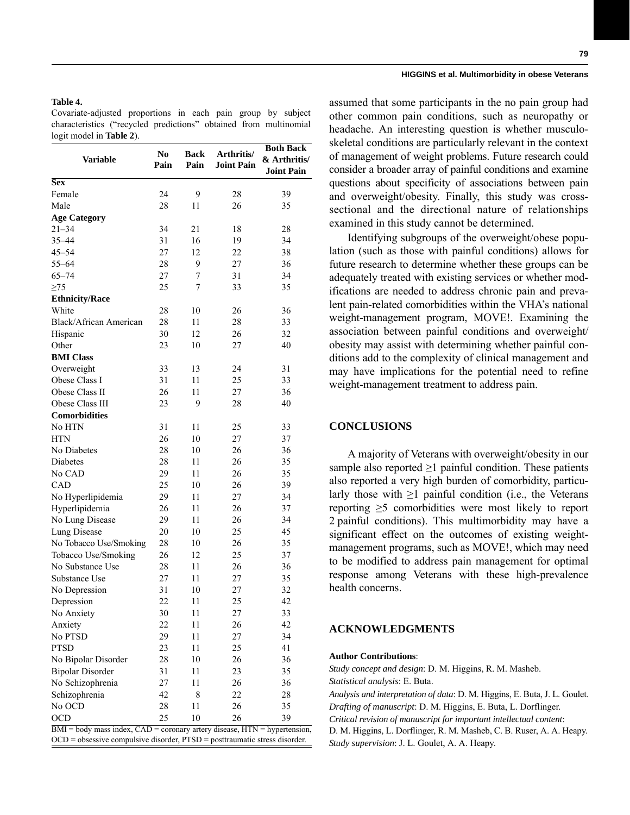# **Table 4.**

Covariate-adjusted proportions in each pain group by subject characteristics ("recycled predictions" obtained from multinomial logit model in **Table 2**).

| <b>Variable</b>                                                                                                                                                    | N <sub>0</sub><br>Pain | Back<br>Pain | Arthritis/<br><b>Joint Pain</b> | <b>Both Back</b><br>& Arthritis/<br><b>Joint Pain</b> |  |  |  |
|--------------------------------------------------------------------------------------------------------------------------------------------------------------------|------------------------|--------------|---------------------------------|-------------------------------------------------------|--|--|--|
| <b>Sex</b>                                                                                                                                                         |                        |              |                                 |                                                       |  |  |  |
| Female                                                                                                                                                             | 24                     | 9            | 28                              | 39                                                    |  |  |  |
| Male                                                                                                                                                               | 28                     | 11           | 26                              | 35                                                    |  |  |  |
| <b>Age Category</b>                                                                                                                                                |                        |              |                                 |                                                       |  |  |  |
| $21 - 34$                                                                                                                                                          | 34                     | 21           | 18                              | 28                                                    |  |  |  |
| $35 - 44$                                                                                                                                                          | 31                     | 16           | 19                              | 34                                                    |  |  |  |
| $45 - 54$                                                                                                                                                          | 27                     | 12           | 22                              | 38                                                    |  |  |  |
| $55 - 64$                                                                                                                                                          | 28                     | 9            | 27                              | 36                                                    |  |  |  |
| $65 - 74$                                                                                                                                                          | 27                     | 7            | 31                              | 34                                                    |  |  |  |
| $\geq$ 75                                                                                                                                                          | 25                     | 7            | 33                              | 35                                                    |  |  |  |
| <b>Ethnicity/Race</b>                                                                                                                                              |                        |              |                                 |                                                       |  |  |  |
| White                                                                                                                                                              | 28                     | 10           | 26                              | 36                                                    |  |  |  |
| Black/African American                                                                                                                                             | 28                     | 11           | 28                              | 33                                                    |  |  |  |
| Hispanic                                                                                                                                                           | 30                     | 12           | 26                              | 32                                                    |  |  |  |
| Other                                                                                                                                                              | 23                     | 10           | 27                              | 40                                                    |  |  |  |
| <b>BMI</b> Class                                                                                                                                                   |                        |              |                                 |                                                       |  |  |  |
| Overweight                                                                                                                                                         | 33                     | 13           | 24                              | 31                                                    |  |  |  |
| Obese Class I                                                                                                                                                      | 31                     | 11           | 25                              | 33                                                    |  |  |  |
| Obese Class II                                                                                                                                                     | 26                     | 11           | 27                              | 36                                                    |  |  |  |
| Obese Class III                                                                                                                                                    | 23                     | 9            | 28                              | 40                                                    |  |  |  |
| <b>Comorbidities</b>                                                                                                                                               |                        |              |                                 |                                                       |  |  |  |
| No HTN                                                                                                                                                             | 31                     | 11           | 25                              | 33                                                    |  |  |  |
| <b>HTN</b>                                                                                                                                                         | 26                     | 10           | 27                              | 37                                                    |  |  |  |
| No Diabetes                                                                                                                                                        | 28                     | 10           | 26                              | 36                                                    |  |  |  |
| Diabetes                                                                                                                                                           | 28                     | 11           | 26                              | 35                                                    |  |  |  |
| No CAD                                                                                                                                                             | 29                     | 11           | 26                              | 35                                                    |  |  |  |
| CAD                                                                                                                                                                | 25                     | 10           | 26                              | 39                                                    |  |  |  |
| No Hyperlipidemia                                                                                                                                                  | 29                     | 11           | 27                              | 34                                                    |  |  |  |
| Hyperlipidemia                                                                                                                                                     | 26                     | 11           | 26                              | 37                                                    |  |  |  |
| No Lung Disease                                                                                                                                                    | 29                     | 11           | 26                              | 34                                                    |  |  |  |
| Lung Disease                                                                                                                                                       | 20                     | 10           | 25                              | 45                                                    |  |  |  |
| No Tobacco Use/Smoking                                                                                                                                             | 28                     | 10           | 26                              | 35                                                    |  |  |  |
| Tobacco Use/Smoking                                                                                                                                                | 26                     | 12           | 25                              | 37                                                    |  |  |  |
| No Substance Use                                                                                                                                                   | 28                     | 11           | 26                              | 36                                                    |  |  |  |
| Substance Use                                                                                                                                                      | 27                     | 11           | 27                              | 35                                                    |  |  |  |
| No Depression                                                                                                                                                      | 31                     | 10           | 27                              | 32                                                    |  |  |  |
| Depression                                                                                                                                                         | 22                     | 11           | 25                              | 42                                                    |  |  |  |
| No Anxiety                                                                                                                                                         | 30                     | 11           | 27                              | 33                                                    |  |  |  |
| Anxiety                                                                                                                                                            | 22                     | 11           | 26                              | 42                                                    |  |  |  |
| No PTSD                                                                                                                                                            | 29                     | 11           | 27                              | 34                                                    |  |  |  |
| <b>PTSD</b>                                                                                                                                                        | 23                     | 11           | 25                              | 41                                                    |  |  |  |
| No Bipolar Disorder                                                                                                                                                | 28                     | 10           | 26                              | 36                                                    |  |  |  |
| <b>Bipolar Disorder</b>                                                                                                                                            | 31                     | 11           | 23                              | 35                                                    |  |  |  |
| No Schizophrenia                                                                                                                                                   | 27                     | 11           | 26                              | 36                                                    |  |  |  |
| Schizophrenia                                                                                                                                                      | 42                     | 8            | 22                              | 28                                                    |  |  |  |
| No OCD                                                                                                                                                             | 28                     | 11           | 26                              | 35                                                    |  |  |  |
| <b>OCD</b>                                                                                                                                                         | 25                     | 10           | 26                              | 39                                                    |  |  |  |
|                                                                                                                                                                    |                        |              |                                 |                                                       |  |  |  |
| $BMI = body$ mass index, $CAD = coronary$ artery disease, $HTN = hypertension$ ,<br>$OCD =$ obsessive compulsive disorder, $PTSD =$ posttraumatic stress disorder. |                        |              |                                 |                                                       |  |  |  |

assumed that some participants in the no pain group had other common pain conditions, such as neuropathy or headache. An interesting question is whether musculoskeletal conditions are particularly relevant in the context of management of weight problems. Future research could consider a broader array of painful conditions and examine questions about specificity of associations between pain and overweight/obesity. Finally, this study was crosssectional and the directional nature of relationships examined in this study cannot be determined.

Identifying subgroups of the overweight/obese population (such as those with painful conditions) allows for future research to determine whether these groups can be adequately treated with existing services or whether modifications are needed to address chronic pain and prevalent pain-related comorbidities within the VHA's national weight-management program, MOVE!. Examining the association between painful conditions and overweight/ obesity may assist with determining whether painful conditions add to the complexity of clinical management and may have implications for the potential need to refine weight-management treatment to address pain.

# **CONCLUSIONS**

A majority of Veterans with overweight/obesity in our sample also reported  $\geq 1$  painful condition. These patients also reported a very high burden of comorbidity, particularly those with  $\geq 1$  painful condition (i.e., the Veterans reporting ≥5 comorbidities were most likely to report 2 painful conditions). This multimorbidity may have a significant effect on the outcomes of existing weightmanagement programs, such as MOVE!, which may need to be modified to address pain management for optimal response among Veterans with these high-prevalence health concerns.

# **ACKNOWLEDGMENTS**

#### **Author Contributions**:

*Study concept and design*: D. M. Higgins, R. M. Masheb. *Statistical analysis*: E. Buta. *Analysis and interpretation of data*: D. M. Higgins, E. Buta, J. L. Goulet. *Drafting of manuscript*: D. M. Higgins, E. Buta, L. Dorflinger. *Critical revision of manuscript for important intellectual content*: D. M. Higgins, L. Dorflinger, R. M. Masheb, C. B. Ruser, A. A. Heapy. *Study supervision*: J. L. Goulet, A. A. Heapy.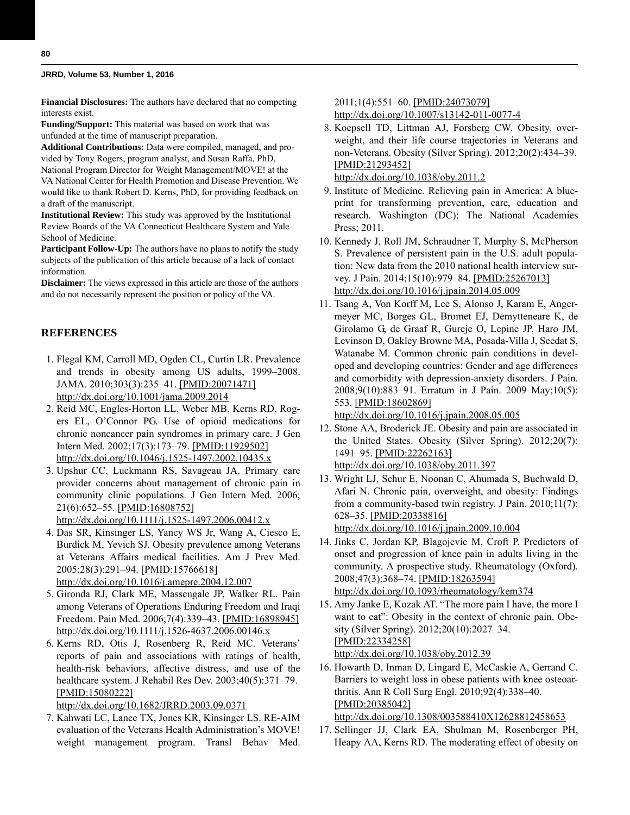**Financial Disclosures:** The authors have declared that no competing interests exist.

**Funding/Support:** This material was based on work that was unfunded at the time of manuscript preparation.

**Additional Contributions:** Data were compiled, managed, and provided by Tony Rogers, program analyst, and Susan Raffa, PhD, National Program Director for Weight Management/MOVE! at the VA National Center for Health Promotion and Disease Prevention. We would like to thank Robert D. Kerns, PhD, for providing feedback on a draft of the manuscript.

**Institutional Review:** This study was approved by the Institutional Review Boards of the VA Connecticut Healthcare System and Yale School of Medicine.

**Participant Follow-Up:** The authors have no plans to notify the study subjects of the publication of this article because of a lack of contact information.

**Disclaimer:** The views expressed in this article are those of the authors and do not necessarily represent the position or policy of the VA.

### **REFERENCES**

- 1. Flegal KM, Carroll MD, Ogden CL, Curtin LR. Prevalence and trends in obesity among US adults, 1999–2008. JAMA. 2010;303(3):235–41. [\[PMID:20071471\]](http://www.ncbi.nlm.nih.gov/entrez/query.fcgi?cmd=Retrieve&db=PubMed&list_uids=20071471&dopt=Abstract) [h](http://www.ncbi.nlm.nih.gov/entrez/query.fcgi?cmd=Retrieve&db=PubMed&list_uids=20071471&dopt=Abstract)[ttp://dx.doi.org/10.1001/jama.2009.2014](http://dx.doi.org/10.1001/jama.2009.2014)
- 2. Reid MC, Engles-Horton LL, Weber MB, Kerns RD, Rogers EL, O'Connor PG. Use of opioid medications for chronic noncancer pain syndromes in primary care. J Gen Intern Med. 2002;17(3):173–79. [\[PMID:11929502\]](http://www.ncbi.nlm.nih.gov/entrez/query.fcgi?cmd=Retrieve&db=PubMed&list_uids=11929502&dopt=Abstract) [h](http://www.ncbi.nlm.nih.gov/entrez/query.fcgi?cmd=Retrieve&db=PubMed&list_uids=11929502&dopt=Abstract)[ttp://dx.doi.org/10.1046/j.1525-1497.2002.10435.x](http://dx.doi.org/10.1046/j.1525-1497.2002.10435.x)
- 3. Upshur CC, Luckmann RS, Savageau JA. Primary care provider concerns about management of chronic pain in community clinic populations. J Gen Intern Med. 2006; 21(6):652–55. [\[PMID:16808752\]](http://www.ncbi.nlm.nih.gov/entrez/query.fcgi?cmd=Retrieve&db=PubMed&list_uids=16808752&dopt=Abstract)

[h](http://www.ncbi.nlm.nih.gov/entrez/query.fcgi?cmd=Retrieve&db=PubMed&list_uids=16808752&dopt=Abstract)[ttp://dx.doi.org/10.1111/j.1525-1497.2006.00412.x](http://dx.doi.org/10.1111/j.1525-1497.2006.00412.x)

- 4. Das SR, Kinsinger LS, Yancy WS Jr, Wang A, Ciesco E, Burdick M, Yevich SJ. Obesity prevalence among Veterans at Veterans Affairs medical facilities. Am J Prev Med. 2005;28(3):291–94. [\[PMID:15766618\]](http://www.ncbi.nlm.nih.gov/entrez/query.fcgi?cmd=Retrieve&db=PubMed&list_uids=15766618&dopt=Abstract) [h](http://www.ncbi.nlm.nih.gov/entrez/query.fcgi?cmd=Retrieve&db=PubMed&list_uids=15766618&dopt=Abstract)[ttp://dx.doi.org/10.1016/j.amepre.2004.12.007](http://dx.doi.org/10.1016/j.amepre.2004.12.007)
- 5. Gironda RJ, Clark ME, Massengale JP, Walker RL. Pain among Veterans of Operations Enduring Freedom and Iraqi Freedom. Pain Med. 2006;7(4):339–43. [\[PMID:16898945\]](http://www.ncbi.nlm.nih.gov/entrez/query.fcgi?cmd=Retrieve&db=PubMed&list_uids=16898945&dopt=Abstract) [h](http://www.ncbi.nlm.nih.gov/entrez/query.fcgi?cmd=Retrieve&db=PubMed&list_uids=16898945&dopt=Abstract)[ttp://dx.doi.org/10.1111/j.1526-4637.2006.00146.x](http://dx.doi.org/10.1111/j.1526-4637.2006.00146.x)
- 6. Kerns RD, Otis J, Rosenberg R, Reid MC. Veterans' reports of pain and associations with ratings of health, health-risk behaviors, affective distress, and use of the healthcare system. J Rehabil Res Dev. 2003;40(5):371–79. [\[PMID:15080222\]](http://www.ncbi.nlm.nih.gov/entrez/query.fcgi?cmd=Retrieve&db=PubMed&list_uids=15080222&dopt=Abstract)

[h](http://www.ncbi.nlm.nih.gov/entrez/query.fcgi?cmd=Retrieve&db=PubMed&list_uids=15080222&dopt=Abstract)[ttp://dx.doi.org/10.1682/JRRD.2003.09.0371](http://dx.doi.org/10.1682/JRRD.2003.09.0371)

 7. Kahwati LC, Lance TX, Jones KR, Kinsinger LS. RE-AIM evaluation of the Veterans Health Administration's MOVE! weight management program. Transl Behav Med. 2011;1(4):551–60. [\[PMID:24073079\]](http://www.ncbi.nlm.nih.gov/entrez/query.fcgi?cmd=Retrieve&db=PubMed&list_uids=24073079&dopt=Abstract) [h](http://www.ncbi.nlm.nih.gov/entrez/query.fcgi?cmd=Retrieve&db=PubMed&list_uids=24073079&dopt=Abstract)[ttp://dx.doi.org/10.1007/s13142-011-0077-4](http://dx.doi.org/10.1007/s13142-011-0077-4)

 8. Koepsell TD, Littman AJ, Forsberg CW. Obesity, overweight, and their life course trajectories in Veterans and non-Veterans. Obesity (Silver Spring). 2012;20(2):434–39. [\[PMID:21293452\]](http://www.ncbi.nlm.nih.gov/entrez/query.fcgi?cmd=Retrieve&db=PubMed&list_uids=21293452&dopt=Abstract) [h](http://www.ncbi.nlm.nih.gov/entrez/query.fcgi?cmd=Retrieve&db=PubMed&list_uids=21293452&dopt=Abstract)[ttp://dx.doi.org/10.1038/oby.2011.2](http://dx.doi.org/10.1038/oby.2011.2)

 9. Institute of Medicine. Relieving pain in America: A blueprint for transforming prevention, care, education and research. Washington (DC): The National Academies Press; 2011.

- 10. Kennedy J, Roll JM, Schraudner T, Murphy S, McPherson S. Prevalence of persistent pain in the U.S. adult population: New data from the 2010 national health interview survey. J Pain. 2014;15(10):979–84. [\[PMID:25267013\]](http://www.ncbi.nlm.nih.gov/entrez/query.fcgi?cmd=Retrieve&db=PubMed&list_uids=25267013&dopt=Abstract) [h](http://www.ncbi.nlm.nih.gov/entrez/query.fcgi?cmd=Retrieve&db=PubMed&list_uids=25267013&dopt=Abstract)[ttp://dx.doi.org/10.1016/j.jpain.2014.05.009](http://dx.doi.org/10.1016/j.jpain.2014.05.009)
- 11. Tsang A, Von Korff M, Lee S, Alonso J, Karam E, Angermeyer MC, Borges GL, Bromet EJ, Demytteneare K, de Girolamo G, de Graaf R, Gureje O, Lepine JP, Haro JM, Levinson D, Oakley Browne MA, Posada-Villa J, Seedat S, Watanabe M. Common chronic pain conditions in developed and developing countries: Gender and age differences and comorbidity with depression-anxiety disorders. J Pain. 2008;9(10):883–91. Erratum in J Pain. 2009 May;10(5): 553. [\[PMID:18602869\]](http://www.ncbi.nlm.nih.gov/entrez/query.fcgi?cmd=Retrieve&db=PubMed&list_uids=18602869&dopt=Abstract)

[h](http://www.ncbi.nlm.nih.gov/entrez/query.fcgi?cmd=Retrieve&db=PubMed&list_uids=18602869&dopt=Abstract)[ttp://dx.doi.org/10.1016/j.jpain.2008.05.005](http://dx.doi.org/10.1016/j.jpain.2008.05.005)

- 12. Stone AA, Broderick JE. Obesity and pain are associated in the United States. Obesity (Silver Spring). 2012;20(7): 1491–95. [\[PMID:22262163\]](http://www.ncbi.nlm.nih.gov/entrez/query.fcgi?cmd=Retrieve&db=PubMed&list_uids=22262163&dopt=Abstract) [h](http://www.ncbi.nlm.nih.gov/entrez/query.fcgi?cmd=Retrieve&db=PubMed&list_uids=22262163&dopt=Abstract)[ttp://dx.doi.org/10.1038/oby.2011.397](http://dx.doi.org/10.1038/oby.2011.397)
- 13. Wright LJ, Schur E, Noonan C, Ahumada S, Buchwald D, Afari N. Chronic pain, overweight, and obesity: Findings from a community-based twin registry. J Pain. 2010;11(7): 628–35. [\[PMID:20338816\]](http://www.ncbi.nlm.nih.gov/entrez/query.fcgi?cmd=Retrieve&db=PubMed&list_uids=20338816&dopt=Abstract)

[h](http://www.ncbi.nlm.nih.gov/entrez/query.fcgi?cmd=Retrieve&db=PubMed&list_uids=20338816&dopt=Abstract)[ttp://dx.doi.org/10.1016/j.jpain.2009.10.004](http://dx.doi.org/10.1016/j.jpain.2009.10.004)

- 14. Jinks C, Jordan KP, Blagojevic M, Croft P. Predictors of onset and progression of knee pain in adults living in the community. A prospective study. Rheumatology (Oxford). 2008;47(3):368–74. [\[PMID:18263594\]](http://www.ncbi.nlm.nih.gov/entrez/query.fcgi?cmd=Retrieve&db=PubMed&list_uids=18263594&dopt=Abstract) [h](http://www.ncbi.nlm.nih.gov/entrez/query.fcgi?cmd=Retrieve&db=PubMed&list_uids=18263594&dopt=Abstract)[ttp://dx.doi.org/10.1093/rheumatology/kem374](http://dx.doi.org/10.1093/rheumatology/kem374)
- 15. Amy Janke E, Kozak AT. "The more pain I have, the more I want to eat": Obesity in the context of chronic pain. Obesity (Silver Spring). 2012;20(10):2027–34. [\[PMID:22334258\]](http://www.ncbi.nlm.nih.gov/entrez/query.fcgi?cmd=Retrieve&db=PubMed&list_uids=22334258&dopt=Abstract) [h](http://www.ncbi.nlm.nih.gov/entrez/query.fcgi?cmd=Retrieve&db=PubMed&list_uids=22334258&dopt=Abstract)[ttp://dx.doi.org/10.1038/oby.2012.39](http://dx.doi.org/10.1038/oby.2012.39)
- 16. Howarth D, Inman D, Lingard E, McCaskie A, Gerrand C. Barriers to weight loss in obese patients with knee osteoarthritis. Ann R Coll Surg Engl. 2010;92(4):338–40. [\[PMID:20385042\]](http://www.ncbi.nlm.nih.gov/entrez/query.fcgi?cmd=Retrieve&db=PubMed&list_uids=20385042&dopt=Abstract)

[h](http://www.ncbi.nlm.nih.gov/entrez/query.fcgi?cmd=Retrieve&db=PubMed&list_uids=20385042&dopt=Abstract)[ttp://dx.doi.org/10.1308/003588410X12628812458653](http://dx.doi.org/10.1308/003588410X12628812458653)

17. Sellinger JJ, Clark EA, Shulman M, Rosenberger PH, Heapy AA, Kerns RD. The moderating effect of obesity on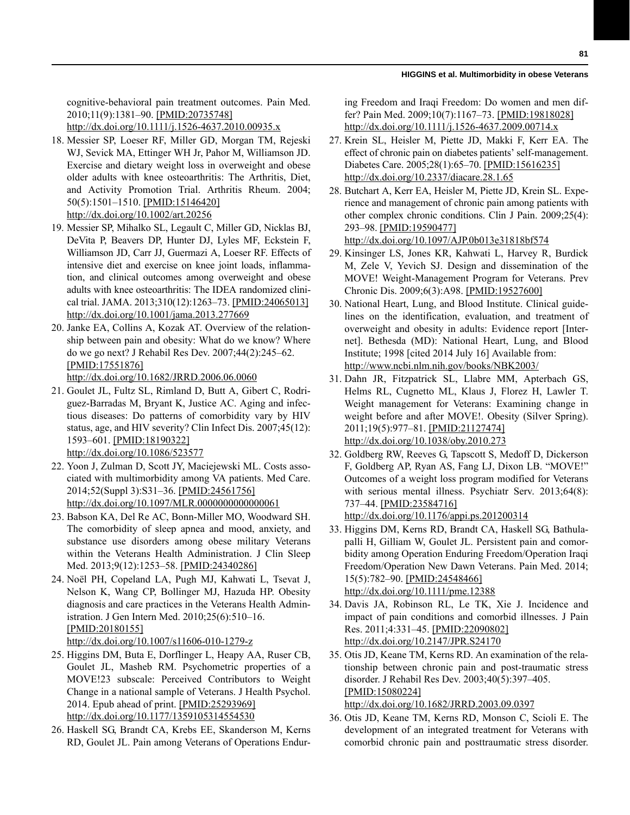cognitive-behavioral pain treatment outcomes. Pain Med. 2010;11(9):1381–90. [\[PMID:20735748\]](http://www.ncbi.nlm.nih.gov/entrez/query.fcgi?cmd=Retrieve&db=PubMed&list_uids=20735748&dopt=Abstract)

[h](http://www.ncbi.nlm.nih.gov/entrez/query.fcgi?cmd=Retrieve&db=PubMed&list_uids=20735748&dopt=Abstract)[ttp://dx.doi.org/10.1111/j.1526-4637.2010.00935.x](http://dx.doi.org/10.1111/j.1526-4637.2010.00935.x)

- 18. Messier SP, Loeser RF, Miller GD, Morgan TM, Rejeski WJ, Sevick MA, Ettinger WH Jr, Pahor M, Williamson JD. Exercise and dietary weight loss in overweight and obese older adults with knee osteoarthritis: The Arthritis, Diet, and Activity Promotion Trial. Arthritis Rheum. 2004; 50(5):1501–1510. [\[PMID:15146420\]](http://www.ncbi.nlm.nih.gov/entrez/query.fcgi?cmd=Retrieve&db=PubMed&list_uids=15146420&dopt=Abstract) [h](http://www.ncbi.nlm.nih.gov/entrez/query.fcgi?cmd=Retrieve&db=PubMed&list_uids=15146420&dopt=Abstract)[ttp://dx.doi.org/10.1002/art.20256](http://dx.doi.org/10.1002/art.20256)
- 19. Messier SP, Mihalko SL, Legault C, Miller GD, Nicklas BJ, DeVita P, Beavers DP, Hunter DJ, Lyles MF, Eckstein F, Williamson JD, Carr JJ, Guermazi A, Loeser RF. Effects of intensive diet and exercise on knee joint loads, inflammation, and clinical outcomes among overweight and obese adults with knee osteoarthritis: The IDEA randomized clinical trial. JAMA. 2013;310(12):1263–73. [\[PMID:24065013\]](http://www.ncbi.nlm.nih.gov/entrez/query.fcgi?cmd=Retrieve&db=PubMed&list_uids=24065013&dopt=Abstract) [h](http://www.ncbi.nlm.nih.gov/entrez/query.fcgi?cmd=Retrieve&db=PubMed&list_uids=24065013&dopt=Abstract)[ttp://dx.doi.org/10.1001/jama.2013.277669](http://dx.doi.org/10.1001/jama.2013.277669)
- 20. Janke EA, Collins A, Kozak AT. Overview of the relationship between pain and obesity: What do we know? Where do we go next? J Rehabil Res Dev. 2007;44(2):245–62. [\[PMID:17551876\]](http://www.ncbi.nlm.nih.gov/entrez/query.fcgi?cmd=Retrieve&db=PubMed&list_uids=17551876&dopt=Abstract)

[h](http://www.ncbi.nlm.nih.gov/entrez/query.fcgi?cmd=Retrieve&db=PubMed&list_uids=17551876&dopt=Abstract)[ttp://dx.doi.org/10.1682/JRRD.2006.06.0060](http://dx.doi.org/10.1682/JRRD.2006.06.0060)

- 21. Goulet JL, Fultz SL, Rimland D, Butt A, Gibert C, Rodriguez-Barradas M, Bryant K, Justice AC. Aging and infectious diseases: Do patterns of comorbidity vary by HIV status, age, and HIV severity? Clin Infect Dis. 2007;45(12): 1593–601. [\[PMID:18190322\]](http://www.ncbi.nlm.nih.gov/entrez/query.fcgi?cmd=Retrieve&db=PubMed&list_uids=18190322&dopt=Abstract) [h](http://www.ncbi.nlm.nih.gov/entrez/query.fcgi?cmd=Retrieve&db=PubMed&list_uids=18190322&dopt=Abstract)[ttp://dx.doi.org/10.1086/523577](http://dx.doi.org/10.1086/523577)
- 22. Yoon J, Zulman D, Scott JY, Maciejewski ML. Costs associated with multimorbidity among VA patients. Med Care. 2014;52(Suppl 3):S31–36. [\[PMID:24561756\]](http://www.ncbi.nlm.nih.gov/entrez/query.fcgi?cmd=Retrieve&db=PubMed&list_uids=24561756&dopt=Abstract)

[h](http://www.ncbi.nlm.nih.gov/entrez/query.fcgi?cmd=Retrieve&db=PubMed&list_uids=24561756&dopt=Abstract)[ttp://dx.doi.org/10.1097/MLR.0000000000000061](http://dx.doi.org/10.1097/MLR.0000000000000061)

- 23. Babson KA, Del Re AC, Bonn-Miller MO, Woodward SH. The comorbidity of sleep apnea and mood, anxiety, and substance use disorders among obese military Veterans within the Veterans Health Administration. J Clin Sleep Med. 2013;9(12):1253–58. [\[PMID:24340286\]](http://www.ncbi.nlm.nih.gov/entrez/query.fcgi?cmd=Retrieve&db=PubMed&list_uids=24340286&dopt=Abstract)
- 24. Noël PH, Copeland LA, Pugh MJ, Kahwati L, Tsevat J, Nelson K, Wang CP, Bollinger MJ, Hazuda HP. Obesity diagnosis and care practices in the Veterans Health Administration. J Gen Intern Med. 2010;25(6):510–16. [\[PMID:20180155\]](http://www.ncbi.nlm.nih.gov/entrez/query.fcgi?cmd=Retrieve&db=PubMed&list_uids=20180155&dopt=Abstract)

[h](http://www.ncbi.nlm.nih.gov/entrez/query.fcgi?cmd=Retrieve&db=PubMed&list_uids=20180155&dopt=Abstract)[ttp://dx.doi.org/10.1007/s11606-010-1279-z](http://dx.doi.org/10.1007/s11606-010-1279-z)

- 25. Higgins DM, Buta E, Dorflinger L, Heapy AA, Ruser CB, Goulet JL, Masheb RM. Psychometric properties of a MOVE!23 subscale: Perceived Contributors to Weight Change in a national sample of Veterans. J Health Psychol. 2014. Epub ahead of print. [\[PMID:25293969\]](http://www.ncbi.nlm.nih.gov/entrez/query.fcgi?cmd=Retrieve&db=PubMed&list_uids=25293969&dopt=Abstract) <http://dx.doi.org/10.1177/1359105314554530>
- 26. Haskell SG, Brandt CA, Krebs EE, Skanderson M, Kerns RD, Goulet JL. Pain among Veterans of Operations Endur-

ing Freedom and Iraqi Freedom: Do women and men differ? Pain Med. 2009;10(7):1167–73. [\[PMID:19818028\]](http://www.ncbi.nlm.nih.gov/entrez/query.fcgi?cmd=Retrieve&db=PubMed&list_uids=19818028&dopt=Abstract) [h](http://www.ncbi.nlm.nih.gov/entrez/query.fcgi?cmd=Retrieve&db=PubMed&list_uids=19818028&dopt=Abstract)[ttp://dx.doi.org/10.1111/j.1526-4637.2009.00714.x](http://dx.doi.org/10.1111/j.1526-4637.2009.00714.x)

- 27. Krein SL, Heisler M, Piette JD, Makki F, Kerr EA. The effect of chronic pain on diabetes patients' self-management. Diabetes Care. 2005;28(1):65–70. [\[PMID:15616235\]](http://www.ncbi.nlm.nih.gov/entrez/query.fcgi?cmd=Retrieve&db=PubMed&list_uids=15616235&dopt=Abstract) [h](http://www.ncbi.nlm.nih.gov/entrez/query.fcgi?cmd=Retrieve&db=PubMed&list_uids=15616235&dopt=Abstract)[ttp://dx.doi.org/10.2337/diacare.28.1.65](http://dx.doi.org/10.2337/diacare.28.1.65)
- 28. Butchart A, Kerr EA, Heisler M, Piette JD, Krein SL. Experience and management of chronic pain among patients with other complex chronic conditions. Clin J Pain. 2009;25(4): 293–98. [\[PMID:19590477\]](http://www.ncbi.nlm.nih.gov/entrez/query.fcgi?cmd=Retrieve&db=PubMed&list_uids=19590477&dopt=Abstract)

[h](http://www.ncbi.nlm.nih.gov/entrez/query.fcgi?cmd=Retrieve&db=PubMed&list_uids=19590477&dopt=Abstract)[ttp://dx.doi.org/10.1097/AJP.0b013e31818bf574](http://dx.doi.org/10.1097/AJP.0b013e31818bf574)

- 29. Kinsinger LS, Jones KR, Kahwati L, Harvey R, Burdick M, Zele V, Yevich SJ. Design and dissemination of the MOVE! Weight-Management Program for Veterans. Prev Chronic Dis. 2009;6(3):A98. [\[PMID:19527600\]](http://www.ncbi.nlm.nih.gov/entrez/query.fcgi?cmd=Retrieve&db=PubMed&list_uids=19527600&dopt=Abstract)
- 30. National Heart, Lung, and Blood Institute. Clinical guidelines on the identification, evaluation, and treatment of overweight and obesity in adults: Evidence report [Internet]. Bethesda (MD): National Heart, Lung, and Blood Institute; 1998 [cited 2014 July 16] Available from: <http://www.ncbi.nlm.nih.gov/books/NBK2003/>
- 31. Dahn JR, Fitzpatrick SL, Llabre MM, Apterbach GS, Helms RL, Cugnetto ML, Klaus J, Florez H, Lawler T. Weight management for Veterans: Examining change in weight before and after MOVE!. Obesity (Silver Spring). 2011;19(5):977–81. [\[PMID:21127474\]](http://www.ncbi.nlm.nih.gov/entrez/query.fcgi?cmd=Retrieve&db=PubMed&list_uids=21127474&dopt=Abstract) [h](http://www.ncbi.nlm.nih.gov/entrez/query.fcgi?cmd=Retrieve&db=PubMed&list_uids=21127474&dopt=Abstract)[ttp://dx.doi.org/10.1038/oby.2010.273](http://dx.doi.org/10.1038/oby.2010.273)
- 32. Goldberg RW, Reeves G, Tapscott S, Medoff D, Dickerson F, Goldberg AP, Ryan AS, Fang LJ, Dixon LB. "MOVE!" Outcomes of a weight loss program modified for Veterans with serious mental illness. Psychiatr Serv. 2013;64(8): 737–44. [\[PMID:23584716\]](http://www.ncbi.nlm.nih.gov/entrez/query.fcgi?cmd=Retrieve&db=PubMed&list_uids=23584716&dopt=Abstract)

[h](http://www.ncbi.nlm.nih.gov/entrez/query.fcgi?cmd=Retrieve&db=PubMed&list_uids=23584716&dopt=Abstract)[ttp://dx.doi.org/10.1176/appi.ps.201200314](http://dx.doi.org/10.1176/appi.ps.201200314)

- 33. Higgins DM, Kerns RD, Brandt CA, Haskell SG, Bathulapalli H, Gilliam W, Goulet JL. Persistent pain and comorbidity among Operation Enduring Freedom/Operation Iraqi Freedom/Operation New Dawn Veterans. Pain Med. 2014; 15(5):782–90. [\[PMID:24548466\]](http://www.ncbi.nlm.nih.gov/entrez/query.fcgi?cmd=Retrieve&db=PubMed&list_uids=24548466&dopt=Abstract) [h](http://www.ncbi.nlm.nih.gov/entrez/query.fcgi?cmd=Retrieve&db=PubMed&list_uids=24548466&dopt=Abstract)[ttp://dx.doi.org/10.1111/pme.12388](http://dx.doi.org/10.1111/pme.12388)
- 34. Davis JA, Robinson RL, Le TK, Xie J. Incidence and impact of pain conditions and comorbid illnesses. J Pain Res. 2011;4:331–45. [\[PMID:22090802\]](http://www.ncbi.nlm.nih.gov/entrez/query.fcgi?cmd=Retrieve&db=PubMed&list_uids=22090802&dopt=Abstract) [h](http://www.ncbi.nlm.nih.gov/entrez/query.fcgi?cmd=Retrieve&db=PubMed&list_uids=22090802&dopt=Abstract)[ttp://dx.doi.org/10.2147/JPR.S24170](http://dx.doi.org/10.2147/JPR.S24170)
- 35. Otis JD, Keane TM, Kerns RD. An examination of the relationship between chronic pain and post-traumatic stress disorder. J Rehabil Res Dev. 2003;40(5):397–405. [\[PMID:15080224\]](http://www.ncbi.nlm.nih.gov/entrez/query.fcgi?cmd=Retrieve&db=PubMed&list_uids=15080224&dopt=Abstract) [h](http://www.ncbi.nlm.nih.gov/entrez/query.fcgi?cmd=Retrieve&db=PubMed&list_uids=15080224&dopt=Abstract)[ttp://dx.doi.org/10.1682/JRRD.2003.09.0397](http://dx.doi.org/10.1682/JRRD.2003.09.0397)
- 36. Otis JD, Keane TM, Kerns RD, Monson C, Scioli E. The development of an integrated treatment for Veterans with comorbid chronic pain and posttraumatic stress disorder.